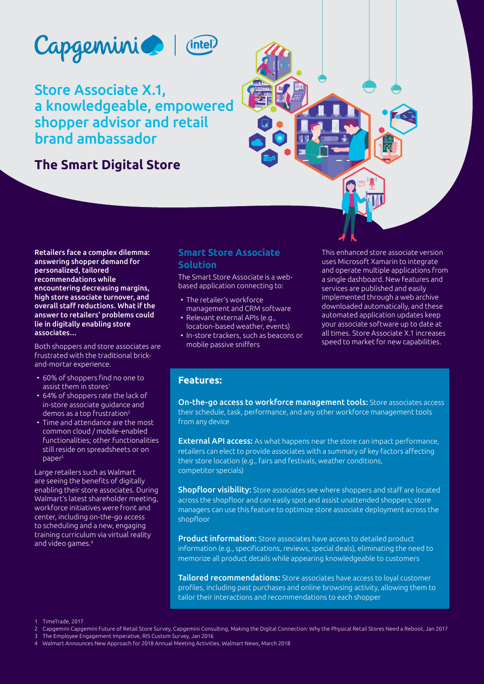

(intel)

Store Associate X.1, a knowledgeable, empowered shopper advisor and retail brand ambassador

# **The Smart Digital Store**



Retailers face a complex dilemma: answering shopper demand for personalized, tailored recommendations while encountering decreasing margins, high store associate turnover, and overall staff reductions. What if the answer to retailers' problems could lie in digitally enabling store associates…

Both shoppers and store associates are frustrated with the traditional brickand-mortar experience.

- 60% of shoppers find no one to assist them in stores1
- 64% of shoppers rate the lack of in-store associate guidance and demos as a top frustration<sup>2</sup>
- Time and attendance are the most common cloud / mobile-enabled functionalities; other functionalities still reside on spreadsheets or on paper3

Large retailers such as Walmart are seeing the benefits of digitally enabling their store associates. During Walmart's latest shareholder meeting, workforce initiatives were front and center, including on-the-go access to scheduling and a new, engaging training curriculum via virtual reality and video games.4

## **Smart Store Associate Solution**

The Smart Store Associate is a webbased application connecting to:

- The retailer's workforce management and CRM software
- Relevant external APIs (e.g., location-based weather, events)
- In-store trackers, such as beacons or mobile passive sniffers

This enhanced store associate version uses Microsoft Xamarin to integrate and operate multiple applications from a single dashboard. New features and services are published and easily implemented through a web archive downloaded automatically, and these automated application updates keep your associate software up to date at all times. Store Associate X.1 increases speed to market for new capabilities.

## **Features:**

On-the-go access to workforce management tools: Store associates access their schedule, task, performance, and any other workforce management tools from any device

External API access: As what happens near the store can impact performance, retailers can elect to provide associates with a summary of key factors affecting their store location (e.g., fairs and festivals, weather conditions, competitor specials)

Shopfloor visibility: Store associates see where shoppers and staff are located across the shopfloor and can easily spot and assist unattended shoppers; store managers can use this feature to optimize store associate deployment across the shopfloor

**Product information:** Store associates have access to detailed product information (e.g., specifications, reviews, special deals), eliminating the need to memorize all product details while appearing knowledgeable to customers

Tailored recommendations: Store associates have access to loyal customer profiles, including past purchases and online browsing activity, allowing them to tailor their interactions and recommendations to each shopper

1 TimeTrade, 2017

- 2 Capgemini Capgemini Future of Retail Store Survey, Capgemini Consulting, Making the Digital Connection: Why the Physical Retail Stores Need a Reboot, Jan 2017
- 3 The Employee Engagement Imperative, RIS Custom Survey, Jan 2016
- 4 Walmart Announces New Approach for 2018 Annual Meeting Activities, Walmart News, March 2018